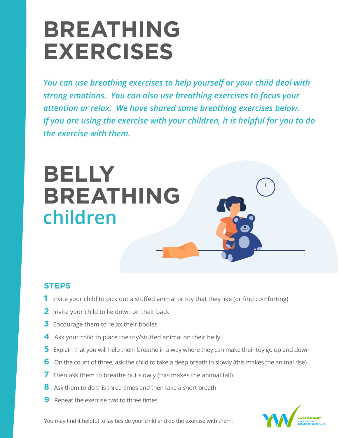# **BREATHING EXERCISES**

*You can use breathing exercises to help yourself or your child deal with strong emotions. You can also use breathing exercises to focus your attention or relax. We have shared some breathing exercises below. If you are using the exercise with your children, it is helpful for you to do the exercise with them.*



### **STEPS**

- **1** Invite your child to pick out a stuffed animal or toy that they like (or find comforting)
- **2** Invite your child to lie down on their back
- **3** Encourage them to relax their bodies
- **4** Ask your child to place the toy/stuffed animal on their belly
- **5** Explain that you will help them breathe in a way where they can make their toy go up and down
- **6** On the count of three, ask the child to take a deep breath in slowly (this makes the animal rise)
- **7** Then ask them to breathe out slowly (this makes the animal fall)
- **8** Ask them to do this three times and then take a short breath
- **9** Repeat the exercise two to three times



You may find it helpful to lay beside your child and do the exercise with them.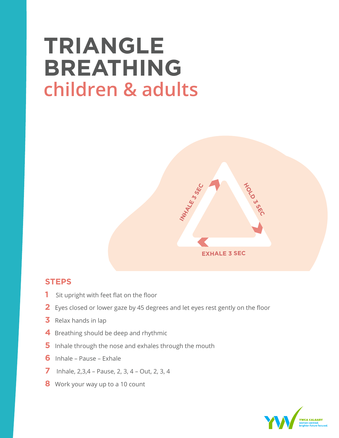# **TRIANGLE BREATHING children & adults**



- **1** Sit upright with feet flat on the floor
- **2** Eyes closed or lower gaze by 45 degrees and let eyes rest gently on the floor
- **3** Relax hands in lap
- **4** Breathing should be deep and rhythmic
- **5** Inhale through the nose and exhales through the mouth
- **6** Inhale Pause Exhale
- **7** Inhale, 2,3,4 Pause, 2, 3, 4 Out, 2, 3, 4
- **8** Work your way up to a 10 count

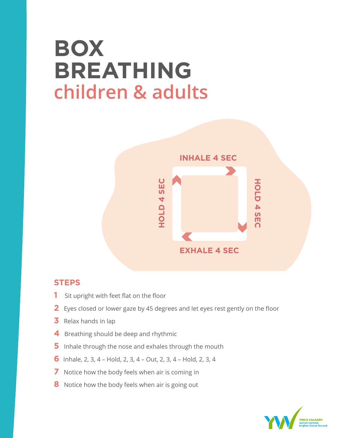## **BOX BREATHING children & adults**



- **1** Sit upright with feet flat on the floor
- **2** Eyes closed or lower gaze by 45 degrees and let eyes rest gently on the floor
- **3** Relax hands in lap
- **4** Breathing should be deep and rhythmic
- **5** Inhale through the nose and exhales through the mouth
- **6** Inhale, 2, 3, 4 Hold, 2, 3, 4 Out, 2, 3, 4 Hold, 2, 3, 4
- **7** Notice how the body feels when air is coming in
- **8** Notice how the body feels when air is going out

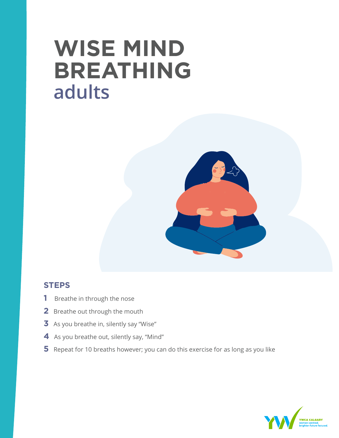# **WISE MIND BREATHING adults**



- **1** Breathe in through the nose
- **2** Breathe out through the mouth
- **3** As you breathe in, silently say "Wise"
- **4** As you breathe out, silently say, "Mind"
- **5** Repeat for 10 breaths however; you can do this exercise for as long as you like

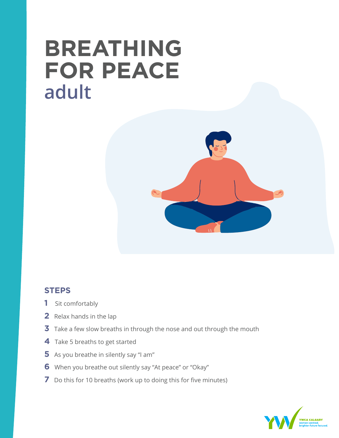## **BREATHING FOR PEACE adult**



- Sit comfortably
- Relax hands in the lap
- Take a few slow breaths in through the nose and out through the mouth
- Take 5 breaths to get started
- As you breathe in silently say "I am"
- When you breathe out silently say "At peace" or "Okay"
- Do this for 10 breaths (work up to doing this for five minutes)